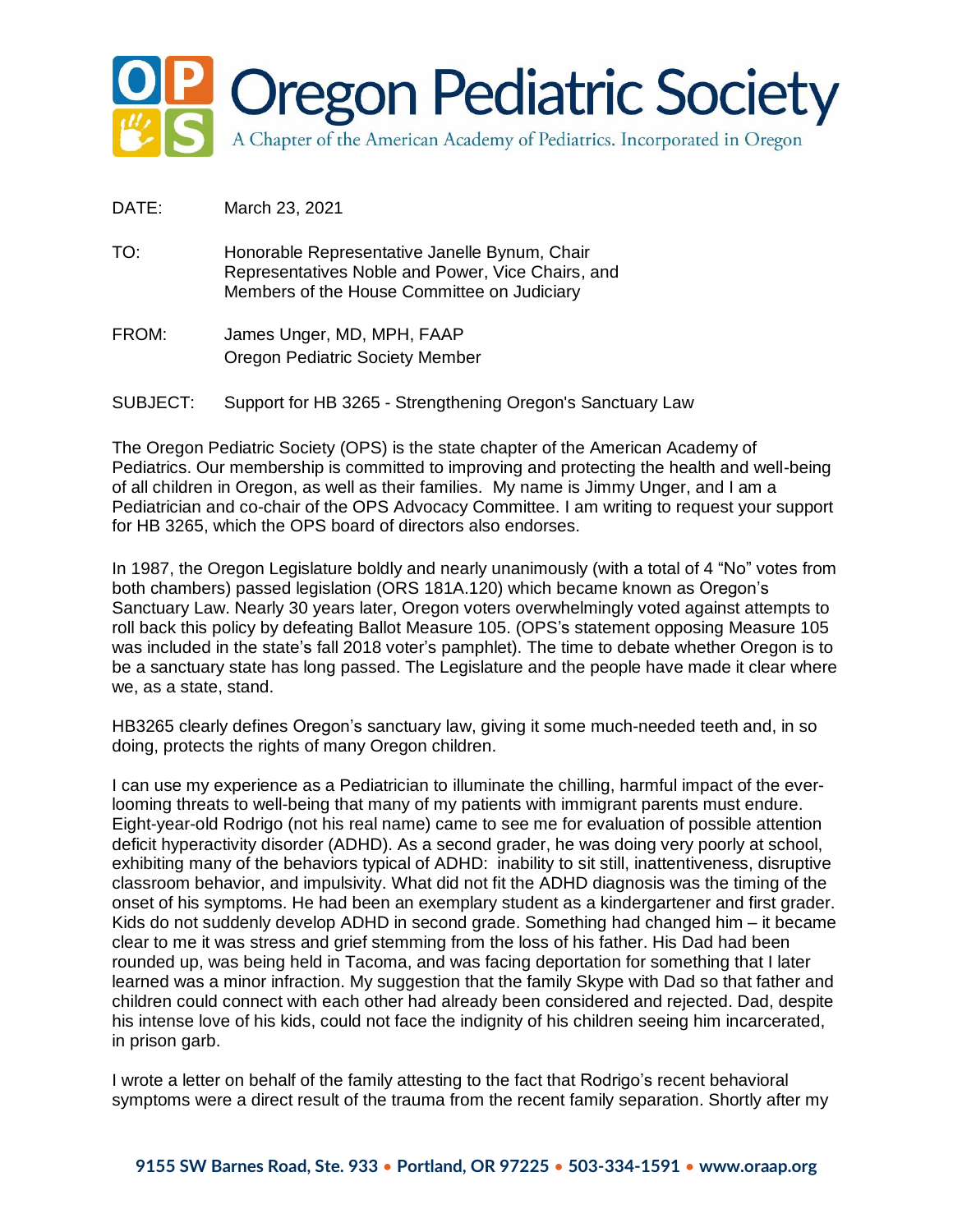

- DATE: March 23, 2021
- TO: Honorable Representative Janelle Bynum, Chair Representatives Noble and Power, Vice Chairs, and Members of the House Committee on Judiciary
- FROM: James Unger, MD, MPH, FAAP Oregon Pediatric Society Member
- SUBJECT: Support for HB 3265 Strengthening Oregon's Sanctuary Law

The Oregon Pediatric Society (OPS) is the state chapter of the American Academy of Pediatrics. Our membership is committed to improving and protecting the health and well-being of all children in Oregon, as well as their families. My name is Jimmy Unger, and I am a Pediatrician and co-chair of the OPS Advocacy Committee. I am writing to request your support for HB 3265, which the OPS board of directors also endorses.

In 1987, the Oregon Legislature boldly and nearly unanimously (with a total of 4 "No" votes from both chambers) passed legislation (ORS 181A.120) which became known as Oregon's Sanctuary Law. Nearly 30 years later, Oregon voters overwhelmingly voted against attempts to roll back this policy by defeating Ballot Measure 105. (OPS's statement opposing Measure 105 was included in the state's fall 2018 voter's pamphlet). The time to debate whether Oregon is to be a sanctuary state has long passed. The Legislature and the people have made it clear where we, as a state, stand.

HB3265 clearly defines Oregon's sanctuary law, giving it some much-needed teeth and, in so doing, protects the rights of many Oregon children.

I can use my experience as a Pediatrician to illuminate the chilling, harmful impact of the everlooming threats to well-being that many of my patients with immigrant parents must endure. Eight-year-old Rodrigo (not his real name) came to see me for evaluation of possible attention deficit hyperactivity disorder (ADHD). As a second grader, he was doing very poorly at school, exhibiting many of the behaviors typical of ADHD: inability to sit still, inattentiveness, disruptive classroom behavior, and impulsivity. What did not fit the ADHD diagnosis was the timing of the onset of his symptoms. He had been an exemplary student as a kindergartener and first grader. Kids do not suddenly develop ADHD in second grade. Something had changed him – it became clear to me it was stress and grief stemming from the loss of his father. His Dad had been rounded up, was being held in Tacoma, and was facing deportation for something that I later learned was a minor infraction. My suggestion that the family Skype with Dad so that father and children could connect with each other had already been considered and rejected. Dad, despite his intense love of his kids, could not face the indignity of his children seeing him incarcerated, in prison garb.

I wrote a letter on behalf of the family attesting to the fact that Rodrigo's recent behavioral symptoms were a direct result of the trauma from the recent family separation. Shortly after my